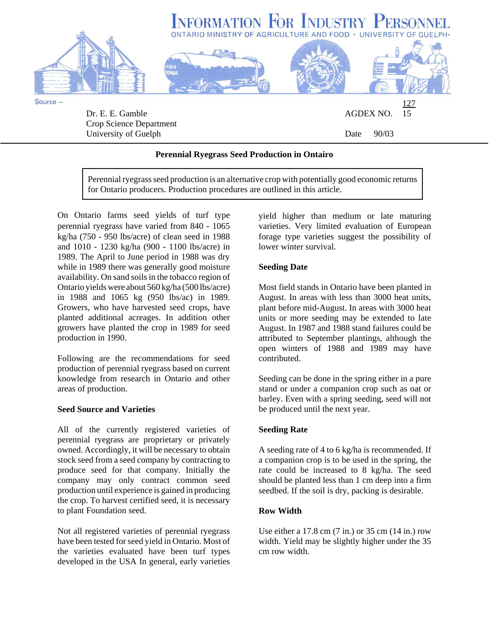

University of Guelph Date 90/03

#### **Perennial Ryegrass Seed Production in Ontairo**

Perennial ryegrass seed production is an alternative crop with potentially good economic returns for Ontario producers. Production procedures are outlined in this article.

On Ontario farms seed yields of turf type perennial ryegrass have varied from 840 - 1065 kg/ha (750 - 950 lbs/acre) of clean seed in 1988 and 1010 - 1230 kg/ha (900 - 1100 lbs/acre) in 1989. The April to June period in 1988 was dry while in 1989 there was generally good moisture availability. On sand soils in the tobacco region of Ontario yields were about 560 kg/ha (500 lbs/acre) in 1988 and 1065 kg (950 lbs/ac) in 1989. Growers, who have harvested seed crops, have planted additional acreages. In addition other growers have planted the crop in 1989 for seed production in 1990.

Following are the recommendations for seed production of perennial ryegrass based on current knowledge from research in Ontario and other areas of production.

#### **Seed Source and Varieties**

All of the currently registered varieties of perennial ryegrass are proprietary or privately owned. Accordingly, it will be necessary to obtain stock seed from a seed company by contracting to produce seed for that company. Initially the company may only contract common seed production until experience is gained in producing the crop. To harvest certified seed, it is necessary to plant Foundation seed.

Not all registered varieties of perennial ryegrass have been tested for seed yield in Ontario. Most of the varieties evaluated have been turf types developed in the USA In general, early varieties

yield higher than medium or late maturing varieties. Very limited evaluation of European forage type varieties suggest the possibility of lower winter survival.

#### **Seeding Date**

Most field stands in Ontario have been planted in August. In areas with less than 3000 heat units, plant before mid-August. In areas with 3000 heat units or more seeding may be extended to late August. In 1987 and 1988 stand failures could be attributed to September plantings, although the open winters of 1988 and 1989 may have contributed.

Seeding can be done in the spring either in a pure stand or under a companion crop such as oat or barley. Even with a spring seeding, seed will not be produced until the next year.

# **Seeding Rate**

A seeding rate of 4 to 6 kg/ha is recommended. If a companion crop is to be used in the spring, the rate could be increased to 8 kg/ha. The seed should be planted less than 1 cm deep into a firm seedbed. If the soil is dry, packing is desirable.

# **Row Width**

Use either a 17.8 cm (7 in.) or 35 cm (14 in.) row width. Yield may be slightly higher under the 35 cm row width.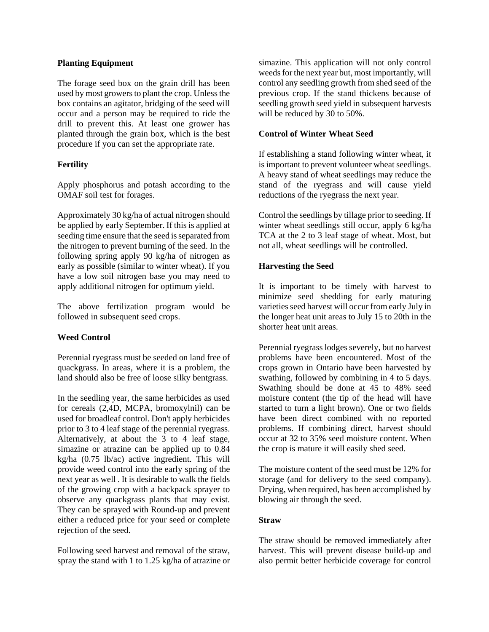#### **Planting Equipment**

The forage seed box on the grain drill has been used by most growers to plant the crop. Unless the box contains an agitator, bridging of the seed will occur and a person may be required to ride the drill to prevent this. At least one grower has planted through the grain box, which is the best procedure if you can set the appropriate rate.

# **Fertility**

Apply phosphorus and potash according to the OMAF soil test for forages.

Approximately 30 kg/ha of actual nitrogen should be applied by early September. If this is applied at seeding time ensure that the seed is separated from the nitrogen to prevent burning of the seed. In the following spring apply 90 kg/ha of nitrogen as early as possible (similar to winter wheat). If you have a low soil nitrogen base you may need to apply additional nitrogen for optimum yield.

The above fertilization program would be followed in subsequent seed crops.

# **Weed Control**

Perennial ryegrass must be seeded on land free of quackgrass. In areas, where it is a problem, the land should also be free of loose silky bentgrass.

In the seedling year, the same herbicides as used for cereals (2,4D, MCPA, bromoxylnil) can be used for broadleaf control. Don't apply herbicides prior to 3 to 4 leaf stage of the perennial ryegrass. Alternatively, at about the 3 to 4 leaf stage, simazine or atrazine can be applied up to 0.84 kg/ha (0.75 lb/ac) active ingredient. This will provide weed control into the early spring of the next year as well . It is desirable to walk the fields of the growing crop with a backpack sprayer to observe any quackgrass plants that may exist. They can be sprayed with Round-up and prevent either a reduced price for your seed or complete rejection of the seed.

Following seed harvest and removal of the straw, spray the stand with 1 to 1.25 kg/ha of atrazine or simazine. This application will not only control weeds for the next year but, most importantly, will control any seedling growth from shed seed of the previous crop. If the stand thickens because of seedling growth seed yield in subsequent harvests will be reduced by 30 to 50%.

#### **Control of Winter Wheat Seed**

If establishing a stand following winter wheat, it is important to prevent volunteer wheat seedlings. A heavy stand of wheat seedlings may reduce the stand of the ryegrass and will cause yield reductions of the ryegrass the next year.

Control the seedlings by tillage prior to seeding. If winter wheat seedlings still occur, apply 6 kg/ha TCA at the 2 to 3 leaf stage of wheat. Most, but not all, wheat seedlings will be controlled.

#### **Harvesting the Seed**

It is important to be timely with harvest to minimize seed shedding for early maturing varieties seed harvest will occur from early July in the longer heat unit areas to July 15 to 20th in the shorter heat unit areas.

Perennial ryegrass lodges severely, but no harvest problems have been encountered. Most of the crops grown in Ontario have been harvested by swathing, followed by combining in 4 to 5 days. Swathing should be done at 45 to 48% seed moisture content (the tip of the head will have started to turn a light brown). One or two fields have been direct combined with no reported problems. If combining direct, harvest should occur at 32 to 35% seed moisture content. When the crop is mature it will easily shed seed.

The moisture content of the seed must be 12% for storage (and for delivery to the seed company). Drying, when required, has been accomplished by blowing air through the seed.

#### **Straw**

The straw should be removed immediately after harvest. This will prevent disease build-up and also permit better herbicide coverage for control